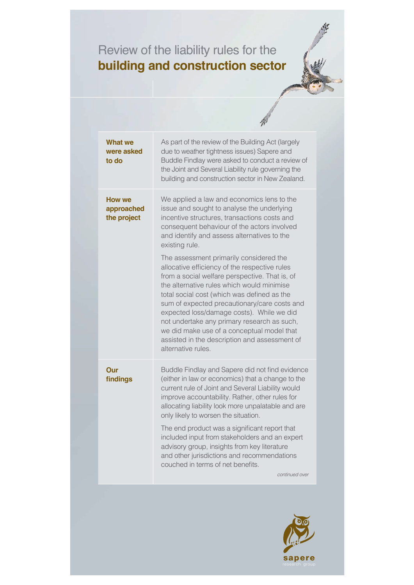## Review of the liability rules for the **building and construction sector**



| <b>What we</b><br>were asked<br>to do | As part of the review of the Building Act (largely<br>due to weather tightness issues) Sapere and<br>Buddle Findlay were asked to conduct a review of<br>the Joint and Several Liability rule governing the<br>building and construction sector in New Zealand.                                                                                                                                                                                                                                          |
|---------------------------------------|----------------------------------------------------------------------------------------------------------------------------------------------------------------------------------------------------------------------------------------------------------------------------------------------------------------------------------------------------------------------------------------------------------------------------------------------------------------------------------------------------------|
| How we<br>approached<br>the project   | We applied a law and economics lens to the<br>issue and sought to analyse the underlying<br>incentive structures, transactions costs and<br>consequent behaviour of the actors involved<br>and identify and assess alternatives to the<br>existing rule.                                                                                                                                                                                                                                                 |
|                                       | The assessment primarily considered the<br>allocative efficiency of the respective rules<br>from a social welfare perspective. That is, of<br>the alternative rules which would minimise<br>total social cost (which was defined as the<br>sum of expected precautionary/care costs and<br>expected loss/damage costs). While we did<br>not undertake any primary research as such,<br>we did make use of a conceptual model that<br>assisted in the description and assessment of<br>alternative rules. |
| Our<br>findings                       | Buddle Findlay and Sapere did not find evidence<br>(either in law or economics) that a change to the<br>current rule of Joint and Several Liability would<br>improve accountability. Rather, other rules for<br>allocating liability look more unpalatable and are<br>only likely to worsen the situation.                                                                                                                                                                                               |
|                                       | The end product was a significant report that<br>included input from stakeholders and an expert<br>advisory group, insights from key literature<br>and other jurisdictions and recommendations<br>couched in terms of net benefits.                                                                                                                                                                                                                                                                      |
|                                       | continued over                                                                                                                                                                                                                                                                                                                                                                                                                                                                                           |